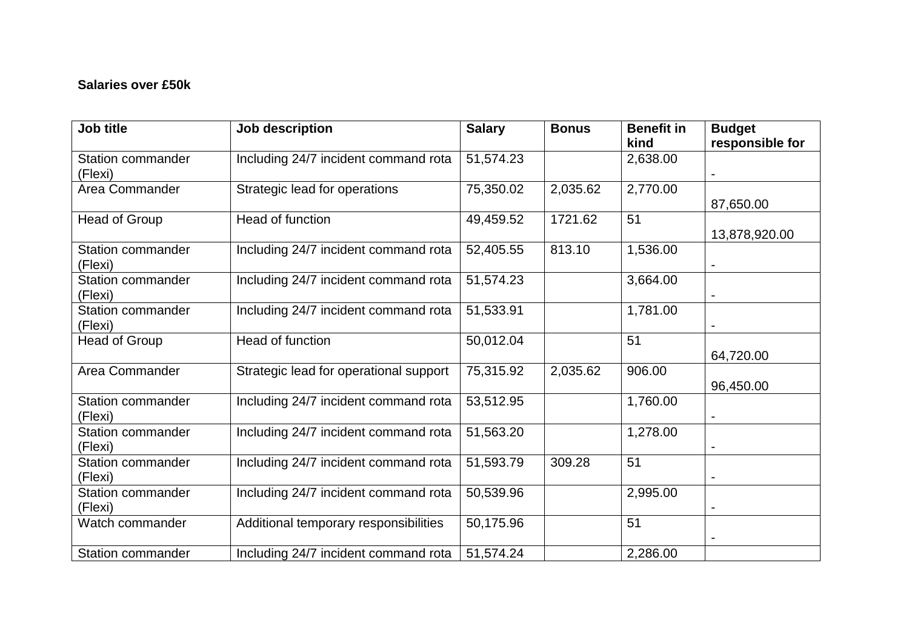## **Salaries over £50k**

| Job title                           | Job description                        | <b>Salary</b> | <b>Bonus</b> | <b>Benefit in</b> | <b>Budget</b>   |
|-------------------------------------|----------------------------------------|---------------|--------------|-------------------|-----------------|
|                                     |                                        |               |              | kind              | responsible for |
| <b>Station commander</b><br>(Flexi) | Including 24/7 incident command rota   | 51,574.23     |              | 2,638.00          |                 |
| Area Commander                      | Strategic lead for operations          | 75,350.02     | 2,035.62     | 2,770.00          | 87,650.00       |
| Head of Group                       | Head of function                       | 49,459.52     | 1721.62      | 51                | 13,878,920.00   |
| <b>Station commander</b><br>(Flexi) | Including 24/7 incident command rota   | 52,405.55     | 813.10       | 1,536.00          |                 |
| <b>Station commander</b><br>(Flexi) | Including 24/7 incident command rota   | 51,574.23     |              | 3,664.00          |                 |
| <b>Station commander</b><br>(Flexi) | Including 24/7 incident command rota   | 51,533.91     |              | 1,781.00          |                 |
| <b>Head of Group</b>                | Head of function                       | 50,012.04     |              | 51                | 64,720.00       |
| Area Commander                      | Strategic lead for operational support | 75,315.92     | 2,035.62     | 906.00            | 96,450.00       |
| <b>Station commander</b><br>(Flexi) | Including 24/7 incident command rota   | 53,512.95     |              | 1,760.00          |                 |
| <b>Station commander</b><br>(Flexi) | Including 24/7 incident command rota   | 51,563.20     |              | 1,278.00          |                 |
| <b>Station commander</b><br>(Flexi) | Including 24/7 incident command rota   | 51,593.79     | 309.28       | 51                |                 |
| Station commander<br>(Flexi)        | Including 24/7 incident command rota   | 50,539.96     |              | 2,995.00          |                 |
| Watch commander                     | Additional temporary responsibilities  | 50,175.96     |              | 51                |                 |
| Station commander                   | Including 24/7 incident command rota   | 51,574.24     |              | 2,286.00          |                 |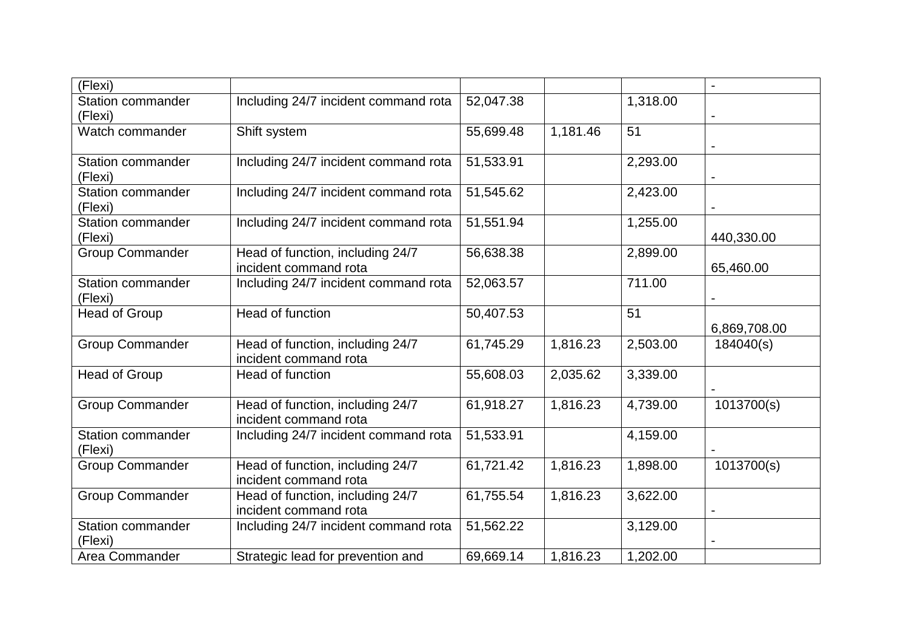| (Flexi)                           |                                                           |           |          |          |              |
|-----------------------------------|-----------------------------------------------------------|-----------|----------|----------|--------------|
| <b>Station commander</b>          | Including 24/7 incident command rota                      | 52,047.38 |          | 1,318.00 |              |
| (Flexi)                           |                                                           |           |          |          |              |
| Watch commander                   | Shift system                                              | 55,699.48 | 1,181.46 | 51       |              |
|                                   |                                                           |           |          |          |              |
| <b>Station commander</b>          | Including 24/7 incident command rota                      | 51,533.91 |          | 2,293.00 |              |
| (Flexi)                           |                                                           |           |          |          |              |
| <b>Station commander</b>          | Including 24/7 incident command rota                      | 51,545.62 |          | 2,423.00 |              |
| (Flexi)                           |                                                           |           |          |          |              |
| <b>Station commander</b>          | Including 24/7 incident command rota                      | 51,551.94 |          | 1,255.00 |              |
| (Flexi)                           |                                                           |           |          |          | 440,330.00   |
| <b>Group Commander</b>            | Head of function, including 24/7                          | 56,638.38 |          | 2,899.00 |              |
|                                   | incident command rota                                     |           |          |          | 65,460.00    |
| <b>Station commander</b>          | Including 24/7 incident command rota                      | 52,063.57 |          | 711.00   |              |
| (Flexi)                           |                                                           |           |          |          |              |
| Head of Group                     | Head of function                                          | 50,407.53 |          | 51       |              |
|                                   |                                                           |           |          |          | 6,869,708.00 |
| <b>Group Commander</b>            | Head of function, including 24/7                          | 61,745.29 | 1,816.23 | 2,503.00 | 184040(s)    |
|                                   | incident command rota                                     |           |          |          |              |
| Head of Group                     | Head of function                                          | 55,608.03 | 2,035.62 | 3,339.00 |              |
|                                   |                                                           |           |          |          |              |
| <b>Group Commander</b>            | Head of function, including 24/7                          | 61,918.27 | 1,816.23 | 4,739.00 | 1013700(s)   |
| <b>Station commander</b>          | incident command rota                                     |           |          |          |              |
|                                   | Including 24/7 incident command rota                      | 51,533.91 |          | 4,159.00 |              |
| (Flexi)<br><b>Group Commander</b> |                                                           |           |          |          |              |
|                                   | Head of function, including 24/7<br>incident command rota | 61,721.42 | 1,816.23 | 1,898.00 | 1013700(s)   |
| <b>Group Commander</b>            | Head of function, including 24/7                          | 61,755.54 | 1,816.23 | 3,622.00 |              |
|                                   | incident command rota                                     |           |          |          |              |
| <b>Station commander</b>          | Including 24/7 incident command rota                      | 51,562.22 |          | 3,129.00 |              |
| (Flexi)                           |                                                           |           |          |          |              |
| Area Commander                    | Strategic lead for prevention and                         | 69,669.14 | 1,816.23 | 1,202.00 |              |
|                                   |                                                           |           |          |          |              |